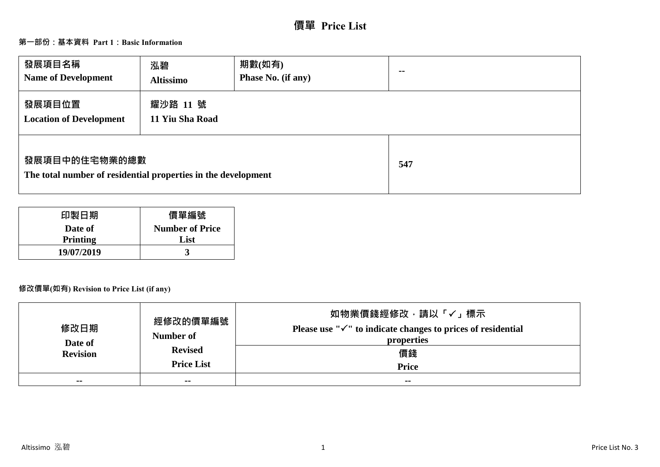# **價單 Price List**

# **第一部份:基本資料 Part 1:Basic Information**

| 發展項目名稱<br><b>Name of Development</b>                                           | 泓碧<br><b>Altissimo</b>      | 期數(如有)<br>Phase No. (if any) | $\sim$ $\sim$ |
|--------------------------------------------------------------------------------|-----------------------------|------------------------------|---------------|
| 發展項目位置<br><b>Location of Development</b>                                       | 耀沙路 11 號<br>11 Yiu Sha Road |                              |               |
| 發展項目中的住宅物業的總數<br>The total number of residential properties in the development |                             |                              | 547           |

| 印製日期            | 價單編號                   |
|-----------------|------------------------|
| Date of         | <b>Number of Price</b> |
| <b>Printing</b> | List                   |
| 19/07/2019      |                        |

# **修改價單(如有) Revision to Price List (if any)**

| 修改日期<br>Date of | 經修改的價單編號<br>Number of               | 如物業價錢經修改﹐請以「✓」標示<br>Please use " $\checkmark$ " to indicate changes to prices of residential<br>properties |
|-----------------|-------------------------------------|------------------------------------------------------------------------------------------------------------|
| <b>Revision</b> | <b>Revised</b><br><b>Price List</b> | 價錢<br><b>Price</b>                                                                                         |
| $- -$           | $\sim$ $\sim$                       | $\sim$ $\sim$                                                                                              |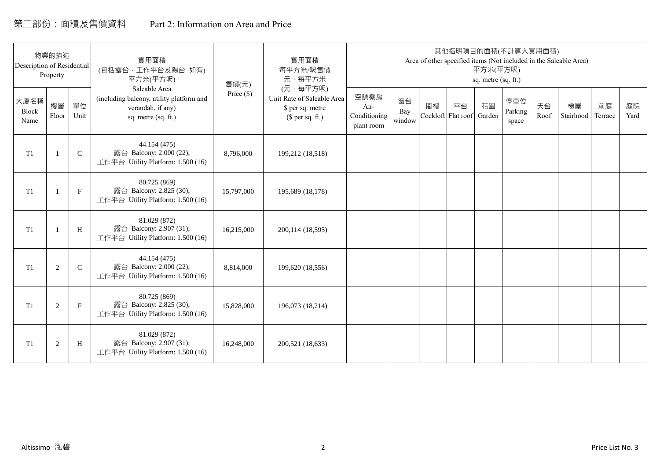# 第二部份:面積及售價資料 Part 2: Information on Area and Price

| Description of Residential | 物業的描述<br>Property |              | 實用面積<br>(包括露台,工作平台及陽台 如有)<br>平方米(平方呎)                                                                 | 售價(元)        | 實用面積<br>每平方米/呎售價<br>元·每平方米                                                     |                                            |                     |                          |    | 平方米(平方呎)<br>sq. metre (sq. ft.) | 其他指明項目的面積(不計算入實用面積)     |            | Area of other specified items (Not included in the Saleable Area) |               |            |
|----------------------------|-------------------|--------------|-------------------------------------------------------------------------------------------------------|--------------|--------------------------------------------------------------------------------|--------------------------------------------|---------------------|--------------------------|----|---------------------------------|-------------------------|------------|-------------------------------------------------------------------|---------------|------------|
| 大廈名稱<br>Block<br>Name      | 樓層<br>Floor       | 單位<br>Unit   | Saleable Area<br>(including balcony, utility platform and<br>verandah, if any)<br>sq. metre (sq. ft.) | Price $(\$)$ | (元·每平方呎)<br>Unit Rate of Saleable Area<br>\$ per sq. metre<br>$$$ per sq. ft.) | 空調機房<br>Air-<br>Conditioning<br>plant room | 窗台<br>Bay<br>window | 閣樓<br>Cockloft Flat roof | 平台 | 花園<br>Garden                    | 停車位<br>Parking<br>space | 天台<br>Roof | 梯屋<br>Stairhood                                                   | 前庭<br>Terrace | 庭院<br>Yard |
| T1                         |                   | $\mathsf{C}$ | 44.154 (475)<br>露台 Balcony: 2.000 (22);<br>工作平台 Utility Platform: 1.500 (16)                          | 8,796,000    | 199,212 (18,518)                                                               |                                            |                     |                          |    |                                 |                         |            |                                                                   |               |            |
| T1                         |                   | $\mathbf{F}$ | 80.725 (869)<br>露台 Balcony: 2.825 (30);<br>工作平台 Utility Platform: 1.500 (16)                          | 15,797,000   | 195,689 (18,178)                                                               |                                            |                     |                          |    |                                 |                         |            |                                                                   |               |            |
| T1                         |                   | H            | 81.029 (872)<br>露台 Balcony: 2.907 (31);<br>工作平台 Utility Platform: 1.500 (16)                          | 16,215,000   | 200,114 (18,595)                                                               |                                            |                     |                          |    |                                 |                         |            |                                                                   |               |            |
| T1                         | 2                 | $\mathsf{C}$ | 44.154 (475)<br>露台 Balcony: 2.000 (22);<br>工作平台 Utility Platform: 1.500 (16)                          | 8,814,000    | 199,620 (18,556)                                                               |                                            |                     |                          |    |                                 |                         |            |                                                                   |               |            |
| T1                         | 2                 | $\mathbf F$  | 80.725 (869)<br>露台 Balcony: 2.825 (30);<br>工作平台 Utility Platform: 1.500 (16)                          | 15,828,000   | 196,073 (18,214)                                                               |                                            |                     |                          |    |                                 |                         |            |                                                                   |               |            |
| T <sub>1</sub>             | 2                 | H            | 81.029 (872)<br>露台 Balcony: 2.907 (31);<br>工作平台 Utility Platform: 1.500 (16)                          | 16,248,000   | 200,521 (18,633)                                                               |                                            |                     |                          |    |                                 |                         |            |                                                                   |               |            |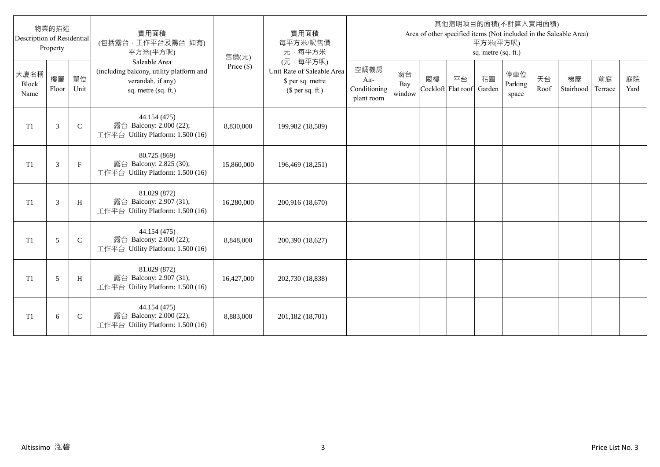| Description of Residential   | 物業的描述<br>Property |              | 實用面積<br>(包括露台,工作平台及陽台 如有)<br>平方米(平方呎)                                                                 | 售價(元)      | 實用面積<br>每平方米/呎售價<br>元·每平方米                                                     |                                            |                     |    |                                 | 平方米(平方呎)<br>sq. metre (sq. ft.) | 其他指明項目的面積(不計算入實用面積)     |            | Area of other specified items (Not included in the Saleable Area) |               |            |
|------------------------------|-------------------|--------------|-------------------------------------------------------------------------------------------------------|------------|--------------------------------------------------------------------------------|--------------------------------------------|---------------------|----|---------------------------------|---------------------------------|-------------------------|------------|-------------------------------------------------------------------|---------------|------------|
| 大廈名稱<br><b>Block</b><br>Name | 樓層<br>Floor       | 單位<br>Unit   | Saleable Area<br>(including balcony, utility platform and<br>verandah, if any)<br>sq. metre (sq. ft.) | Price (\$) | (元·每平方呎)<br>Unit Rate of Saleable Area<br>\$ per sq. metre<br>$$$ per sq. ft.) | 空調機房<br>Air-<br>Conditioning<br>plant room | 窗台<br>Bay<br>window | 閣樓 | 平台<br>Cockloft Flat roof Garden | 花園                              | 停車位<br>Parking<br>space | 天台<br>Roof | 梯屋<br>Stairhood                                                   | 前庭<br>Terrace | 庭院<br>Yard |
| T1                           | 3                 | $\mathbf C$  | 44.154 (475)<br>露台 Balcony: 2.000 (22);<br>工作平台 Utility Platform: 1.500 (16)                          | 8,830,000  | 199,982 (18,589)                                                               |                                            |                     |    |                                 |                                 |                         |            |                                                                   |               |            |
| T <sub>1</sub>               | 3                 | $\mathbf{F}$ | 80.725 (869)<br>露台 Balcony: 2.825 (30);<br>工作平台 Utility Platform: 1.500 (16)                          | 15,860,000 | 196,469 (18,251)                                                               |                                            |                     |    |                                 |                                 |                         |            |                                                                   |               |            |
| T <sub>1</sub>               | 3                 | H            | 81.029 (872)<br>露台 Balcony: 2.907 (31);<br>工作平台 Utility Platform: 1.500 (16)                          | 16,280,000 | 200,916 (18,670)                                                               |                                            |                     |    |                                 |                                 |                         |            |                                                                   |               |            |
| T <sub>1</sub>               | 5                 | $\mathsf{C}$ | 44.154 (475)<br>露台 Balcony: 2.000 (22);<br>工作平台 Utility Platform: 1.500 (16)                          | 8,848,000  | 200,390 (18,627)                                                               |                                            |                     |    |                                 |                                 |                         |            |                                                                   |               |            |
| T <sub>1</sub>               | 5                 | H            | 81.029 (872)<br>露台 Balcony: 2.907 (31);<br>工作平台 Utility Platform: 1.500 (16)                          | 16,427,000 | 202,730 (18,838)                                                               |                                            |                     |    |                                 |                                 |                         |            |                                                                   |               |            |
| T1                           | 6                 | $\mathsf{C}$ | 44.154 (475)<br>露台 Balcony: 2.000 (22);<br>工作平台 Utility Platform: 1.500 (16)                          | 8,883,000  | 201,182 (18,701)                                                               |                                            |                     |    |                                 |                                 |                         |            |                                                                   |               |            |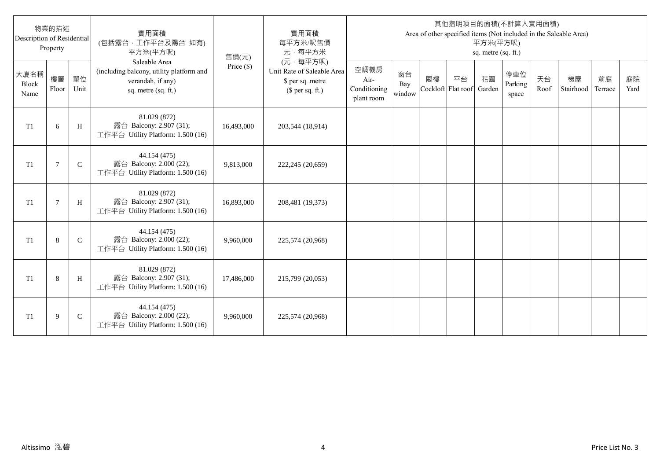| Description of Residential   | 物業的描述<br>Property |              | 實用面積<br>(包括露台,工作平台及陽台 如有)<br>平方米(平方呎)                                                                 | 售價(元)      | 實用面積<br>每平方米/呎售價<br>元·每平方米                                                     |                                            |                     |    |                                 | 平方米(平方呎)<br>sq. metre (sq. ft.) | 其他指明項目的面積(不計算入實用面積)     |            | Area of other specified items (Not included in the Saleable Area) |               |            |
|------------------------------|-------------------|--------------|-------------------------------------------------------------------------------------------------------|------------|--------------------------------------------------------------------------------|--------------------------------------------|---------------------|----|---------------------------------|---------------------------------|-------------------------|------------|-------------------------------------------------------------------|---------------|------------|
| 大廈名稱<br><b>Block</b><br>Name | 樓層<br>Floor       | 單位<br>Unit   | Saleable Area<br>(including balcony, utility platform and<br>verandah, if any)<br>sq. metre (sq. ft.) | Price (\$) | (元·每平方呎)<br>Unit Rate of Saleable Area<br>\$ per sq. metre<br>$$$ per sq. ft.) | 空調機房<br>Air-<br>Conditioning<br>plant room | 窗台<br>Bay<br>window | 閣樓 | 平台<br>Cockloft Flat roof Garden | 花園                              | 停車位<br>Parking<br>space | 天台<br>Roof | 梯屋<br>Stairhood                                                   | 前庭<br>Terrace | 庭院<br>Yard |
| T <sub>1</sub>               | 6                 | H            | 81.029 (872)<br>露台 Balcony: 2.907 (31);<br>工作平台 Utility Platform: 1.500 (16)                          | 16,493,000 | 203,544 (18,914)                                                               |                                            |                     |    |                                 |                                 |                         |            |                                                                   |               |            |
| T <sub>1</sub>               | $\overline{7}$    | $\mathsf{C}$ | 44.154 (475)<br>露台 Balcony: 2.000 (22);<br>工作平台 Utility Platform: 1.500 (16)                          | 9,813,000  | 222,245 (20,659)                                                               |                                            |                     |    |                                 |                                 |                         |            |                                                                   |               |            |
| T <sub>1</sub>               | $\overline{7}$    | H            | 81.029 (872)<br>露台 Balcony: 2.907 (31);<br>工作平台 Utility Platform: 1.500 (16)                          | 16,893,000 | 208,481 (19,373)                                                               |                                            |                     |    |                                 |                                 |                         |            |                                                                   |               |            |
| T <sub>1</sub>               | 8                 | $\mathsf{C}$ | 44.154 (475)<br>露台 Balcony: 2.000 (22);<br>工作平台 Utility Platform: 1.500 (16)                          | 9,960,000  | 225,574 (20,968)                                                               |                                            |                     |    |                                 |                                 |                         |            |                                                                   |               |            |
| T <sub>1</sub>               | 8                 | H            | 81.029 (872)<br>露台 Balcony: 2.907 (31);<br>工作平台 Utility Platform: 1.500 (16)                          | 17,486,000 | 215,799 (20,053)                                                               |                                            |                     |    |                                 |                                 |                         |            |                                                                   |               |            |
| T1                           | 9                 | $\mathsf{C}$ | 44.154 (475)<br>露台 Balcony: 2.000 (22);<br>工作平台 Utility Platform: 1.500 (16)                          | 9,960,000  | 225,574 (20,968)                                                               |                                            |                     |    |                                 |                                 |                         |            |                                                                   |               |            |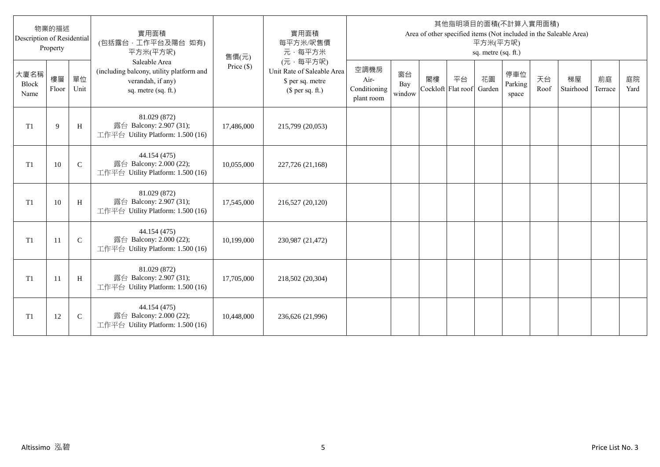| Description of Residential   | 物業的描述<br>Property |              | 實用面積<br>(包括露台,工作平台及陽台 如有)<br>平方米(平方呎)                                                                 | 售價(元)      | 實用面積<br>每平方米/呎售價<br>元·每平方米                                                     |                                            |                     |    |                                 | 平方米(平方呎)<br>sq. metre (sq. ft.) | 其他指明項目的面積(不計算入實用面積)     |            | Area of other specified items (Not included in the Saleable Area) |               |            |
|------------------------------|-------------------|--------------|-------------------------------------------------------------------------------------------------------|------------|--------------------------------------------------------------------------------|--------------------------------------------|---------------------|----|---------------------------------|---------------------------------|-------------------------|------------|-------------------------------------------------------------------|---------------|------------|
| 大廈名稱<br><b>Block</b><br>Name | 樓層<br>Floor       | 單位<br>Unit   | Saleable Area<br>(including balcony, utility platform and<br>verandah, if any)<br>sq. metre (sq. ft.) | Price (\$) | (元·每平方呎)<br>Unit Rate of Saleable Area<br>\$ per sq. metre<br>$$$ per sq. ft.) | 空調機房<br>Air-<br>Conditioning<br>plant room | 窗台<br>Bay<br>window | 閣樓 | 平台<br>Cockloft Flat roof Garden | 花園                              | 停車位<br>Parking<br>space | 天台<br>Roof | 梯屋<br>Stairhood                                                   | 前庭<br>Terrace | 庭院<br>Yard |
| T <sub>1</sub>               | 9                 | H            | 81.029 (872)<br>露台 Balcony: 2.907 (31);<br>工作平台 Utility Platform: 1.500 (16)                          | 17,486,000 | 215,799 (20,053)                                                               |                                            |                     |    |                                 |                                 |                         |            |                                                                   |               |            |
| T <sub>1</sub>               | 10                | $\mathsf{C}$ | 44.154 (475)<br>露台 Balcony: 2.000 (22);<br>工作平台 Utility Platform: 1.500 (16)                          | 10,055,000 | 227,726 (21,168)                                                               |                                            |                     |    |                                 |                                 |                         |            |                                                                   |               |            |
| T <sub>1</sub>               | 10                | H            | 81.029 (872)<br>露台 Balcony: 2.907 (31);<br>工作平台 Utility Platform: 1.500 (16)                          | 17,545,000 | 216,527 (20,120)                                                               |                                            |                     |    |                                 |                                 |                         |            |                                                                   |               |            |
| T <sub>1</sub>               | 11                | $\mathsf{C}$ | 44.154 (475)<br>露台 Balcony: 2.000 (22);<br>工作平台 Utility Platform: 1.500 (16)                          | 10,199,000 | 230,987 (21,472)                                                               |                                            |                     |    |                                 |                                 |                         |            |                                                                   |               |            |
| T <sub>1</sub>               | 11                | H            | 81.029 (872)<br>露台 Balcony: 2.907 (31);<br>工作平台 Utility Platform: 1.500 (16)                          | 17,705,000 | 218,502 (20,304)                                                               |                                            |                     |    |                                 |                                 |                         |            |                                                                   |               |            |
| T1                           | 12                | $\mathsf{C}$ | 44.154 (475)<br>露台 Balcony: 2.000 (22);<br>工作平台 Utility Platform: 1.500 (16)                          | 10,448,000 | 236,626 (21,996)                                                               |                                            |                     |    |                                 |                                 |                         |            |                                                                   |               |            |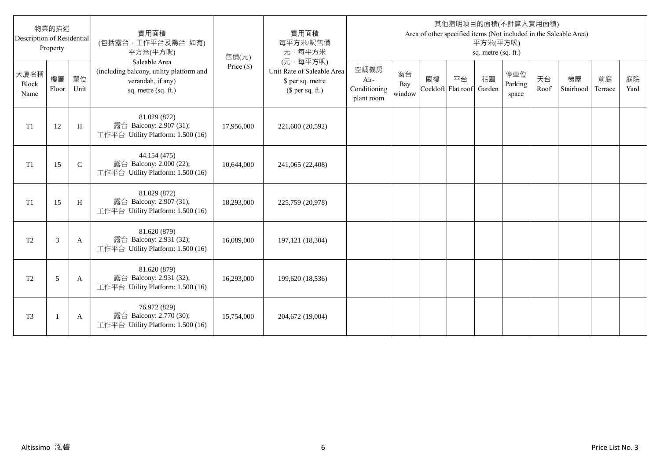| Description of Residential   | 物業的描述<br>Property        |              | 實用面積<br>(包括露台,工作平台及陽台 如有)<br>平方米(平方呎)                                                                 | 售價(元)      | 實用面積<br>每平方米/呎售價<br>元·每平方米                                                     |                                            |                     |    |                                 | 平方米(平方呎)<br>sq. metre (sq. ft.) | 其他指明項目的面積(不計算入實用面積)     |            | Area of other specified items (Not included in the Saleable Area) |               |            |
|------------------------------|--------------------------|--------------|-------------------------------------------------------------------------------------------------------|------------|--------------------------------------------------------------------------------|--------------------------------------------|---------------------|----|---------------------------------|---------------------------------|-------------------------|------------|-------------------------------------------------------------------|---------------|------------|
| 大廈名稱<br><b>Block</b><br>Name | 樓層<br>Floor              | 單位<br>Unit   | Saleable Area<br>(including balcony, utility platform and<br>verandah, if any)<br>sq. metre (sq. ft.) | Price (\$) | (元·每平方呎)<br>Unit Rate of Saleable Area<br>\$ per sq. metre<br>$$$ per sq. ft.) | 空調機房<br>Air-<br>Conditioning<br>plant room | 窗台<br>Bay<br>window | 閣樓 | 平台<br>Cockloft Flat roof Garden | 花園                              | 停車位<br>Parking<br>space | 天台<br>Roof | 梯屋<br>Stairhood                                                   | 前庭<br>Terrace | 庭院<br>Yard |
| T <sub>1</sub>               | 12                       | H            | 81.029 (872)<br>露台 Balcony: 2.907 (31);<br>工作平台 Utility Platform: 1.500 (16)                          | 17,956,000 | 221,600 (20,592)                                                               |                                            |                     |    |                                 |                                 |                         |            |                                                                   |               |            |
| T <sub>1</sub>               | 15                       | $\mathsf{C}$ | 44.154 (475)<br>露台 Balcony: 2.000 (22);<br>工作平台 Utility Platform: 1.500 (16)                          | 10,644,000 | 241,065 (22,408)                                                               |                                            |                     |    |                                 |                                 |                         |            |                                                                   |               |            |
| T <sub>1</sub>               | 15                       | H            | 81.029 (872)<br>露台 Balcony: 2.907 (31);<br>工作平台 Utility Platform: 1.500 (16)                          | 18,293,000 | 225,759 (20,978)                                                               |                                            |                     |    |                                 |                                 |                         |            |                                                                   |               |            |
| T <sub>2</sub>               | 3                        | A            | 81.620 (879)<br>露台 Balcony: 2.931 (32);<br>工作平台 Utility Platform: 1.500 (16)                          | 16,089,000 | 197,121 (18,304)                                                               |                                            |                     |    |                                 |                                 |                         |            |                                                                   |               |            |
| T <sub>2</sub>               | 5                        | A            | 81.620 (879)<br>露台 Balcony: 2.931 (32);<br>工作平台 Utility Platform: 1.500 (16)                          | 16,293,000 | 199,620 (18,536)                                                               |                                            |                     |    |                                 |                                 |                         |            |                                                                   |               |            |
| T <sub>3</sub>               | $\overline{\phantom{a}}$ | A            | 76.972 (829)<br>露台 Balcony: 2.770 (30);<br>工作平台 Utility Platform: 1.500 (16)                          | 15,754,000 | 204,672 (19,004)                                                               |                                            |                     |    |                                 |                                 |                         |            |                                                                   |               |            |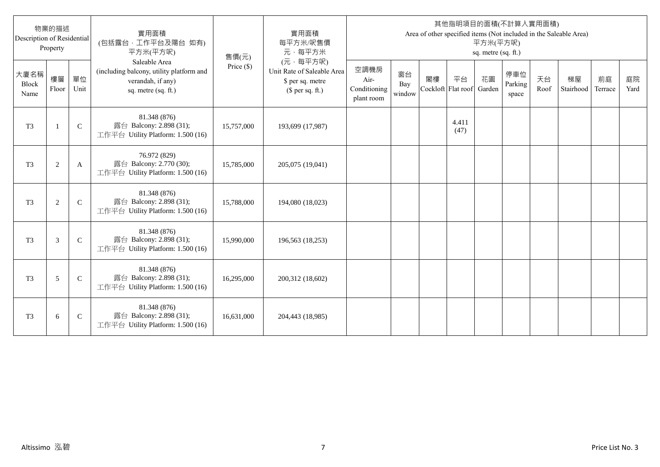| Description of Residential   | 物業的描述<br>Property |               | 實用面積<br>(包括露台,工作平台及陽台 如有)<br>平方米(平方呎)                                                                 | 售價(元)      | 實用面積<br>每平方米/呎售價<br>元·每平方米                                                     |                                            |                     |    |                                 | 平方米(平方呎)<br>sq. metre (sq. ft.) | 其他指明項目的面積(不計算入實用面積)     |            | Area of other specified items (Not included in the Saleable Area) |               |            |
|------------------------------|-------------------|---------------|-------------------------------------------------------------------------------------------------------|------------|--------------------------------------------------------------------------------|--------------------------------------------|---------------------|----|---------------------------------|---------------------------------|-------------------------|------------|-------------------------------------------------------------------|---------------|------------|
| 大廈名稱<br><b>Block</b><br>Name | 樓層<br>Floor       | 單位<br>Unit    | Saleable Area<br>(including balcony, utility platform and<br>verandah, if any)<br>sq. metre (sq. ft.) | Price (\$) | (元·每平方呎)<br>Unit Rate of Saleable Area<br>\$ per sq. metre<br>$$$ per sq. ft.) | 空調機房<br>Air-<br>Conditioning<br>plant room | 窗台<br>Bay<br>window | 閣樓 | 平台<br>Cockloft Flat roof Garden | 花園                              | 停車位<br>Parking<br>space | 天台<br>Roof | 梯屋<br>Stairhood                                                   | 前庭<br>Terrace | 庭院<br>Yard |
| T <sub>3</sub>               | $\overline{1}$    | $\mathbf C$   | 81.348 (876)<br>露台 Balcony: 2.898 (31);<br>工作平台 Utility Platform: 1.500 (16)                          | 15,757,000 | 193,699 (17,987)                                                               |                                            |                     |    | 4.411<br>(47)                   |                                 |                         |            |                                                                   |               |            |
| T <sub>3</sub>               | $\overline{2}$    | A             | 76.972 (829)<br>露台 Balcony: 2.770 (30);<br>工作平台 Utility Platform: 1.500 (16)                          | 15,785,000 | 205,075 (19,041)                                                               |                                            |                     |    |                                 |                                 |                         |            |                                                                   |               |            |
| T <sub>3</sub>               | $\overline{2}$    | $\mathcal{C}$ | 81.348 (876)<br>露台 Balcony: 2.898 (31);<br>工作平台 Utility Platform: 1.500 (16)                          | 15,788,000 | 194,080 (18,023)                                                               |                                            |                     |    |                                 |                                 |                         |            |                                                                   |               |            |
| T <sub>3</sub>               | 3                 | $\mathsf{C}$  | 81.348 (876)<br>露台 Balcony: 2.898 (31);<br>工作平台 Utility Platform: 1.500 (16)                          | 15,990,000 | 196,563 (18,253)                                                               |                                            |                     |    |                                 |                                 |                         |            |                                                                   |               |            |
| T <sub>3</sub>               | 5                 | $\mathcal{C}$ | 81.348 (876)<br>露台 Balcony: 2.898 (31);<br>工作平台 Utility Platform: 1.500 (16)                          | 16,295,000 | 200,312 (18,602)                                                               |                                            |                     |    |                                 |                                 |                         |            |                                                                   |               |            |
| T <sub>3</sub>               | 6                 | $\mathsf{C}$  | 81.348 (876)<br>露台 Balcony: 2.898 (31);<br>工作平台 Utility Platform: 1.500 (16)                          | 16,631,000 | 204,443 (18,985)                                                               |                                            |                     |    |                                 |                                 |                         |            |                                                                   |               |            |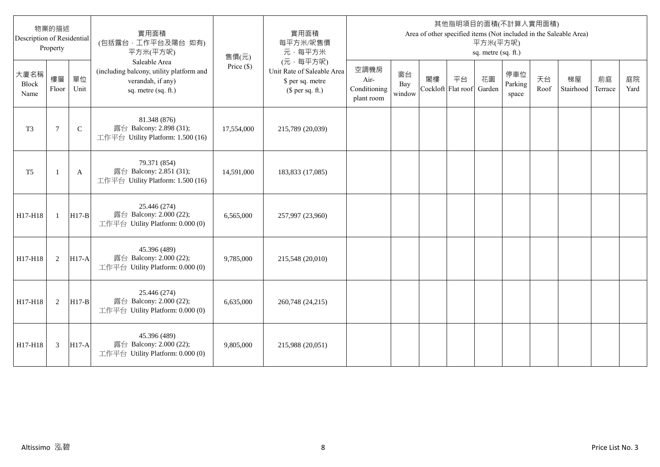| Description of Residential | 物業的描述<br>Property |              | 實用面積<br>(包括露台,工作平台及陽台 如有)<br>平方米(平方呎)                                                                 | 售價(元)        | 實用面積<br>每平方米/呎售價<br>元·每平方米                                                     |                                            |                     |    |                          | 平方米(平方呎)<br>sq. metre (sq. ft.) | 其他指明項目的面積(不計算入實用面積)     |            | Area of other specified items (Not included in the Saleable Area) |               |            |
|----------------------------|-------------------|--------------|-------------------------------------------------------------------------------------------------------|--------------|--------------------------------------------------------------------------------|--------------------------------------------|---------------------|----|--------------------------|---------------------------------|-------------------------|------------|-------------------------------------------------------------------|---------------|------------|
| 大廈名稱<br>Block<br>Name      | 樓層<br>Floor       | 單位<br>Unit   | Saleable Area<br>(including balcony, utility platform and<br>verandah, if any)<br>sq. metre (sq. ft.) | Price $(\$)$ | (元·每平方呎)<br>Unit Rate of Saleable Area<br>\$ per sq. metre<br>$$$ per sq. ft.) | 空調機房<br>Air-<br>Conditioning<br>plant room | 窗台<br>Bay<br>window | 閣樓 | 平台<br>Cockloft Flat roof | 花園<br>Garden                    | 停車位<br>Parking<br>space | 天台<br>Roof | 梯屋<br>Stairhood                                                   | 前庭<br>Terrace | 庭院<br>Yard |
| T <sub>3</sub>             | $\overline{7}$    | $\mathsf{C}$ | 81.348 (876)<br>露台 Balcony: 2.898 (31);<br>工作平台 Utility Platform: 1.500 (16)                          | 17,554,000   | 215,789 (20,039)                                                               |                                            |                     |    |                          |                                 |                         |            |                                                                   |               |            |
| T <sub>5</sub>             | $\mathbf{1}$      | A            | 79.371 (854)<br>露台 Balcony: 2.851 (31);<br>工作平台 Utility Platform: 1.500 (16)                          | 14,591,000   | 183,833 (17,085)                                                               |                                            |                     |    |                          |                                 |                         |            |                                                                   |               |            |
| H17-H18                    | $\mathbf{1}$      | $H17-B$      | 25.446 (274)<br>露台 Balcony: 2.000 (22);<br>工作平台 Utility Platform: 0.000 (0)                           | 6,565,000    | 257,997 (23,960)                                                               |                                            |                     |    |                          |                                 |                         |            |                                                                   |               |            |
| H17-H18                    | 2                 | $H17-A$      | 45.396 (489)<br>露台 Balcony: 2.000 (22);<br>工作平台 Utility Platform: 0.000 (0)                           | 9,785,000    | 215,548 (20,010)                                                               |                                            |                     |    |                          |                                 |                         |            |                                                                   |               |            |
| H17-H18                    | 2                 | $H17-B$      | 25.446 (274)<br>露台 Balcony: 2.000 (22);<br>工作平台 Utility Platform: 0.000 (0)                           | 6,635,000    | 260,748 (24,215)                                                               |                                            |                     |    |                          |                                 |                         |            |                                                                   |               |            |
| H17-H18                    | 3                 | $H17-A$      | 45.396 (489)<br>露台 Balcony: 2.000 (22);<br>工作平台 Utility Platform: 0.000 (0)                           | 9,805,000    | 215,988 (20,051)                                                               |                                            |                     |    |                          |                                 |                         |            |                                                                   |               |            |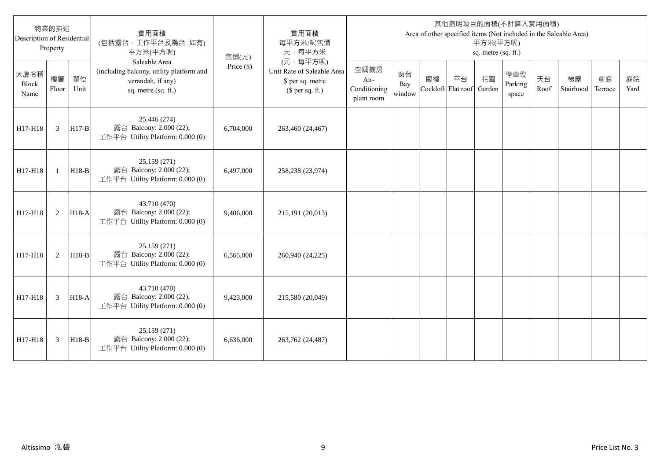| Description of Residential | 物業的描述<br>Property |            | 實用面積<br>(包括露台,工作平台及陽台 如有)<br>平方米(平方呎)                                                                 | 售價(元)        | 實用面積<br>每平方米/呎售價<br>元·每平方米                                                     |                                            |                     |    |                          | 平方米(平方呎)<br>sq. metre (sq. ft.) | 其他指明項目的面積(不計算入實用面積)     |            | Area of other specified items (Not included in the Saleable Area) |               |            |
|----------------------------|-------------------|------------|-------------------------------------------------------------------------------------------------------|--------------|--------------------------------------------------------------------------------|--------------------------------------------|---------------------|----|--------------------------|---------------------------------|-------------------------|------------|-------------------------------------------------------------------|---------------|------------|
| 大廈名稱<br>Block<br>Name      | 樓層<br>Floor       | 單位<br>Unit | Saleable Area<br>(including balcony, utility platform and<br>verandah, if any)<br>sq. metre (sq. ft.) | Price $(\$)$ | (元,每平方呎)<br>Unit Rate of Saleable Area<br>\$ per sq. metre<br>$$$ per sq. ft.) | 空調機房<br>Air-<br>Conditioning<br>plant room | 窗台<br>Bay<br>window | 閣樓 | 平台<br>Cockloft Flat roof | 花園<br>Garden                    | 停車位<br>Parking<br>space | 天台<br>Roof | 梯屋<br>Stairhood                                                   | 前庭<br>Terrace | 庭院<br>Yard |
| H17-H18                    | 3                 | $H17-B$    | 25.446 (274)<br>露台 Balcony: 2.000 (22);<br>工作平台 Utility Platform: 0.000 (0)                           | 6,704,000    | 263,460 (24,467)                                                               |                                            |                     |    |                          |                                 |                         |            |                                                                   |               |            |
| H17-H18                    | $\mathbf{1}$      | $H18-B$    | 25.159 (271)<br>露台 Balcony: 2.000 (22);<br>工作平台 Utility Platform: 0.000 (0)                           | 6,497,000    | 258,238 (23,974)                                                               |                                            |                     |    |                          |                                 |                         |            |                                                                   |               |            |
| H17-H18                    | 2                 | $H18-A$    | 43.710 (470)<br>露台 Balcony: 2.000 (22);<br>工作平台 Utility Platform: 0.000 (0)                           | 9,406,000    | 215,191 (20,013)                                                               |                                            |                     |    |                          |                                 |                         |            |                                                                   |               |            |
| H17-H18                    | 2                 | $H18-B$    | 25.159 (271)<br>露台 Balcony: 2.000 (22);<br>工作平台 Utility Platform: 0.000 (0)                           | 6,565,000    | 260,940 (24,225)                                                               |                                            |                     |    |                          |                                 |                         |            |                                                                   |               |            |
| H17-H18                    | 3                 | H18-A      | 43.710 (470)<br>露台 Balcony: 2.000 (22);<br>工作平台 Utility Platform: 0.000 (0)                           | 9,423,000    | 215,580 (20,049)                                                               |                                            |                     |    |                          |                                 |                         |            |                                                                   |               |            |
| H17-H18                    | 3                 | $H18-B$    | 25.159(271)<br>露台 Balcony: 2.000 (22);<br>工作平台 Utility Platform: 0.000 (0)                            | 6,636,000    | 263,762 (24,487)                                                               |                                            |                     |    |                          |                                 |                         |            |                                                                   |               |            |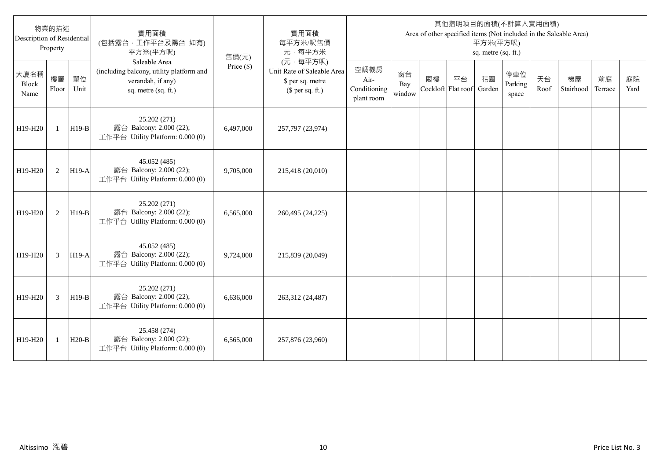| Description of Residential | 物業的描述<br>Property |            | 實用面積<br>(包括露台,工作平台及陽台 如有)<br>平方米(平方呎)                                                                 | 售價(元)        | 實用面積<br>每平方米/呎售價<br>元·每平方米                                                     |                                            |                     |    |                          | 平方米(平方呎)<br>sq. metre (sq. ft.) | 其他指明項目的面積(不計算入實用面積)     |            | Area of other specified items (Not included in the Saleable Area) |               |            |
|----------------------------|-------------------|------------|-------------------------------------------------------------------------------------------------------|--------------|--------------------------------------------------------------------------------|--------------------------------------------|---------------------|----|--------------------------|---------------------------------|-------------------------|------------|-------------------------------------------------------------------|---------------|------------|
| 大廈名稱<br>Block<br>Name      | 樓層<br>Floor       | 單位<br>Unit | Saleable Area<br>(including balcony, utility platform and<br>verandah, if any)<br>sq. metre (sq. ft.) | Price $(\$)$ | (元,每平方呎)<br>Unit Rate of Saleable Area<br>\$ per sq. metre<br>(\$ per sq. ft.) | 空調機房<br>Air-<br>Conditioning<br>plant room | 窗台<br>Bay<br>window | 閣樓 | 平台<br>Cockloft Flat roof | 花園<br>Garden                    | 停車位<br>Parking<br>space | 天台<br>Roof | 梯屋<br>Stairhood                                                   | 前庭<br>Terrace | 庭院<br>Yard |
| H19-H20                    | $\mathbf{1}$      | $H19-B$    | 25.202 (271)<br>露台 Balcony: 2.000 (22);<br>工作平台 Utility Platform: 0.000 (0)                           | 6,497,000    | 257,797 (23,974)                                                               |                                            |                     |    |                          |                                 |                         |            |                                                                   |               |            |
| H19-H20                    | 2                 | $H19-A$    | 45.052 (485)<br>露台 Balcony: 2.000 (22);<br>工作平台 Utility Platform: 0.000 (0)                           | 9,705,000    | 215,418 (20,010)                                                               |                                            |                     |    |                          |                                 |                         |            |                                                                   |               |            |
| H19-H20                    | 2                 | H19-B      | 25.202 (271)<br>露台 Balcony: 2.000 (22);<br>工作平台 Utility Platform: 0.000 (0)                           | 6,565,000    | 260,495 (24,225)                                                               |                                            |                     |    |                          |                                 |                         |            |                                                                   |               |            |
| H19-H20                    | 3                 | $H19-A$    | 45.052 (485)<br>露台 Balcony: 2.000 (22);<br>工作平台 Utility Platform: 0.000 (0)                           | 9,724,000    | 215,839 (20,049)                                                               |                                            |                     |    |                          |                                 |                         |            |                                                                   |               |            |
| H19-H20                    | 3                 | H19-B      | 25.202 (271)<br>露台 Balcony: 2.000 (22);<br>工作平台 Utility Platform: 0.000 (0)                           | 6,636,000    | 263,312 (24,487)                                                               |                                            |                     |    |                          |                                 |                         |            |                                                                   |               |            |
| H19-H20                    | 1                 | $H20-B$    | 25.458 (274)<br>露台 Balcony: 2.000 (22);<br>工作平台 Utility Platform: 0.000 (0)                           | 6,565,000    | 257,876 (23,960)                                                               |                                            |                     |    |                          |                                 |                         |            |                                                                   |               |            |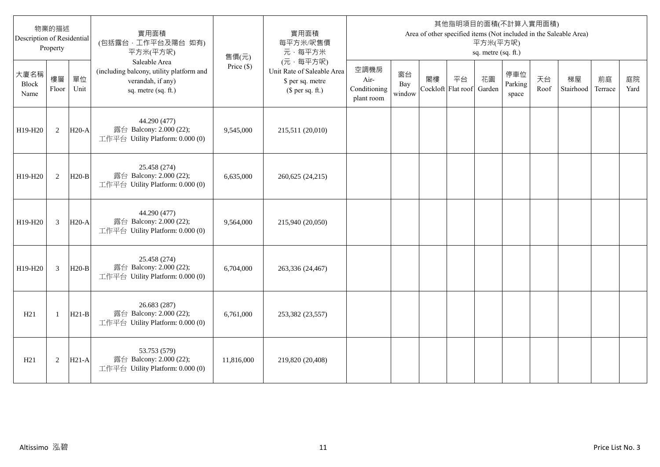| 物業的描述<br>Description of Residential<br>Property |              |            | 實用面積<br>(包括露台,工作平台及陽台 如有)<br>平方米(平方呎)                                                                 | 售價(元)        | 實用面積<br>每平方米/呎售價<br>元·每平方米                                                     | 其他指明項目的面積(不計算入實用面積)<br>Area of other specified items (Not included in the Saleable Area)<br>平方米(平方呎)<br>sq. metre (sq. ft.) |                     |                          |    |              |                         |            |                 |               |            |
|-------------------------------------------------|--------------|------------|-------------------------------------------------------------------------------------------------------|--------------|--------------------------------------------------------------------------------|-----------------------------------------------------------------------------------------------------------------------------|---------------------|--------------------------|----|--------------|-------------------------|------------|-----------------|---------------|------------|
| 大廈名稱<br>Block<br>Name                           | 樓層<br>Floor  | 單位<br>Unit | Saleable Area<br>(including balcony, utility platform and<br>verandah, if any)<br>sq. metre (sq. ft.) | Price $(\$)$ | (元·每平方呎)<br>Unit Rate of Saleable Area<br>\$ per sq. metre<br>$$$ per sq. ft.) | 空調機房<br>Air-<br>Conditioning<br>plant room                                                                                  | 窗台<br>Bay<br>window | 閣樓<br>Cockloft Flat roof | 平台 | 花園<br>Garden | 停車位<br>Parking<br>space | 天台<br>Roof | 梯屋<br>Stairhood | 前庭<br>Terrace | 庭院<br>Yard |
| H19-H20                                         | 2            | $H20-A$    | 44.290 (477)<br>露台 Balcony: 2.000 (22);<br>工作平台 Utility Platform: 0.000 (0)                           | 9,545,000    | 215,511 (20,010)                                                               |                                                                                                                             |                     |                          |    |              |                         |            |                 |               |            |
| H19-H20                                         | 2            | $H20-B$    | 25.458 (274)<br>露台 Balcony: 2.000 (22);<br>工作平台 Utility Platform: 0.000 (0)                           | 6,635,000    | 260,625 (24,215)                                                               |                                                                                                                             |                     |                          |    |              |                         |            |                 |               |            |
| H19-H20                                         | 3            | $H20-A$    | 44.290 (477)<br>露台 Balcony: 2.000 (22);<br>工作平台 Utility Platform: 0.000 (0)                           | 9,564,000    | 215,940 (20,050)                                                               |                                                                                                                             |                     |                          |    |              |                         |            |                 |               |            |
| H19-H20                                         | 3            | $H20-B$    | 25.458 (274)<br>露台 Balcony: 2.000 (22);<br>工作平台 Utility Platform: 0.000 (0)                           | 6,704,000    | 263,336 (24,467)                                                               |                                                                                                                             |                     |                          |    |              |                         |            |                 |               |            |
| H21                                             | $\mathbf{1}$ | $H21-B$    | 26.683 (287)<br>露台 Balcony: 2.000 (22);<br>工作平台 Utility Platform: 0.000 (0)                           | 6,761,000    | 253,382 (23,557)                                                               |                                                                                                                             |                     |                          |    |              |                         |            |                 |               |            |
| H21                                             | $\sqrt{2}$   | $H21-A$    | 53.753 (579)<br>露台 Balcony: 2.000 (22);<br>工作平台 Utility Platform: 0.000 (0)                           | 11,816,000   | 219,820 (20,408)                                                               |                                                                                                                             |                     |                          |    |              |                         |            |                 |               |            |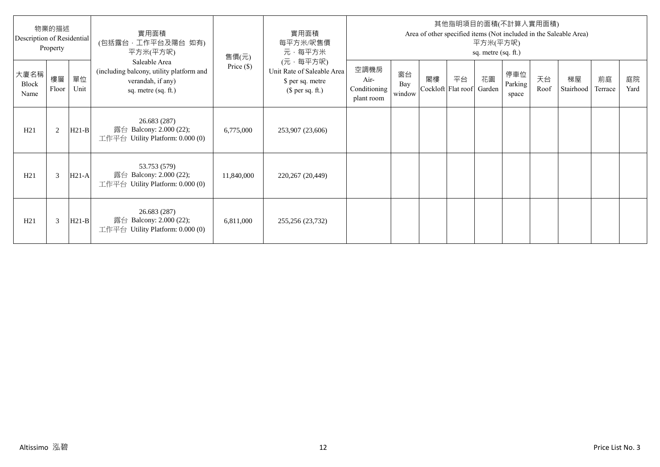| 物業的描述<br>Description of Residential<br>Property |                |            | 實用面積<br>(包括露台,工作平台及陽台 如有)<br>平方米(平方呎)                                                                 | 售價(元)        | 實用面積<br>每平方米/呎售價<br>元·每平方米                                                     | 其他指明項目的面積(不計算入實用面積)<br>Area of other specified items (Not included in the Saleable Area)<br>平方米(平方呎)<br>sq. metre (sq. ft.) |                     |                          |    |              |                         |            |                 |               |            |
|-------------------------------------------------|----------------|------------|-------------------------------------------------------------------------------------------------------|--------------|--------------------------------------------------------------------------------|-----------------------------------------------------------------------------------------------------------------------------|---------------------|--------------------------|----|--------------|-------------------------|------------|-----------------|---------------|------------|
| 大廈名稱<br>Block<br>Name                           | 樓層<br>Floor    | 單位<br>Unit | Saleable Area<br>(including balcony, utility platform and<br>verandah, if any)<br>sq. metre (sq. ft.) | Price $(\$)$ | (元·每平方呎)<br>Unit Rate of Saleable Area<br>\$ per sq. metre<br>$$$ per sq. ft.) | 空調機房<br>Air-<br>Conditioning<br>plant room                                                                                  | 窗台<br>Bay<br>window | 閣樓<br>Cockloft Flat roof | 平台 | 花園<br>Garden | 停車位<br>Parking<br>space | 天台<br>Roof | 梯屋<br>Stairhood | 前庭<br>Terrace | 庭院<br>Yard |
| H21                                             | $\overline{2}$ | $H21-B$    | 26.683 (287)<br>露台 Balcony: 2.000 (22);<br>工作平台 Utility Platform: 0.000 (0)                           | 6,775,000    | 253,907 (23,606)                                                               |                                                                                                                             |                     |                          |    |              |                         |            |                 |               |            |
| H21                                             | 3              | $H21-A$    | 53.753 (579)<br>露台 Balcony: 2.000 (22);<br>工作平台 Utility Platform: 0.000 (0)                           | 11,840,000   | 220,267 (20,449)                                                               |                                                                                                                             |                     |                          |    |              |                         |            |                 |               |            |
| H21                                             | 3              | $H21-B$    | 26.683 (287)<br>露台 Balcony: 2.000 (22);<br>工作平台 Utility Platform: 0.000 (0)                           | 6,811,000    | 255,256 (23,732)                                                               |                                                                                                                             |                     |                          |    |              |                         |            |                 |               |            |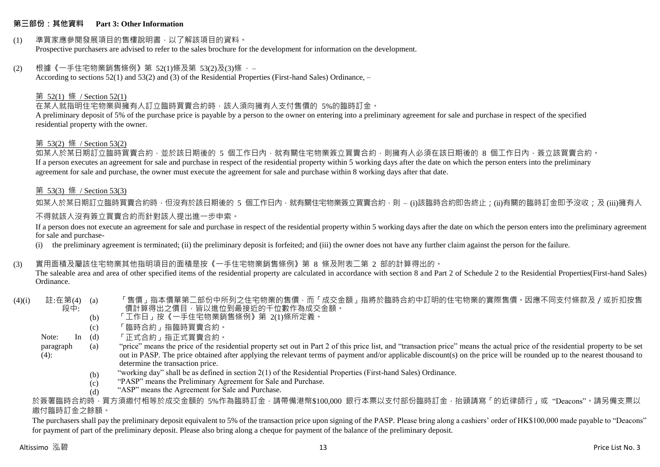#### **第三部份:其他資料 Part 3: Other Information**

# (1) 準買家應參閱發展項目的售樓說明書,以了解該項目的資料。

Prospective purchasers are advised to refer to the sales brochure for the development for information on the development.

#### (2) 根據《一手住宅物業銷售條例》第 52(1)條及第 53(2)及(3)條 ,–

According to sections 52(1) and 53(2) and (3) of the Residential Properties (First-hand Sales) Ordinance, –

#### 第 52(1) 條 / Section 52(1)

在某人就指明住宅物業與擁有人訂立臨時買賣合約時,該人須向擁有人支付售價的 5%的臨時訂金。

A preliminary deposit of 5% of the purchase price is payable by a person to the owner on entering into a preliminary agreement for sale and purchase in respect of the specified residential property with the owner.

#### 第 53(2) 條 / Section 53(2)

如某人於某日期訂立臨時買賣合約,並於該日期後的 5 個工作日內,就有關住宅物業簽立買賣合約,則擁有人必須在該日期後的 8 個工作日內,簽立該買賣合約。 If a person executes an agreement for sale and purchase in respect of the residential property within 5 working days after the date on which the person enters into the preliminary agreement for sale and purchase, the owner must execute the agreement for sale and purchase within 8 working days after that date.

#### 第 53(3) 條 / Section 53(3)

如某人於某日期訂立臨時買賣合約時,但沒有於該日期後的 5 個工作日內,就有關住宅物業簽立買賣合約,則 – (i)該臨時合約即告終止;(ii)有關的臨時訂金即予沒收;及 (iii)擁有人

#### 不得就該人沒有簽立買賣合約而針對該人提出進一步申索。

If a person does not execute an agreement for sale and purchase in respect of the residential property within 5 working days after the date on which the person enters into the preliminary agreement for sale and purchase-

(i) the preliminary agreement is terminated; (ii) the preliminary deposit is forfeited; and (iii) the owner does not have any further claim against the person for the failure.

#### (3) 實用面積及屬該住宅物業其他指明項目的面積是按《一手住宅物業銷售條例》第 8 條及附表二第 2 部的計算得出的。

The saleable area and area of other specified items of the residential property are calculated in accordance with section 8 and Part 2 of Schedule 2 to the Residential Properties(First-hand Sales) Ordinance.

 $(4)(i)$  註:在第 $(4)$   $(a)$ 段中: 「售價」指本價單第二部份中所列之住宅物業的售價,而「成交金額」指將於臨時合約中訂明的住宅物業的實際售價。因應不同支付條款及/或折扣按售 價計算得出之價目,皆以進位到最接近的千位數作為成交金額。

- (b) 「工作日」按《一手住宅物業銷售條例》第 2(1)條所定義。
- (c) 「臨時合約」指臨時買賣合約。
- $\ln$  (d) 「正式合約」指正式買賣合約。
- paragraph  $(4)$ : (a) "price" means the price of the residential property set out in Part 2 of this price list, and "transaction price" means the actual price of the residential property to be set out in PASP. The price obtained after applying the relevant terms of payment and/or applicable discount(s) on the price will be rounded up to the nearest thousand to determine the transaction price.
	- (b) "working day" shall be as defined in section 2(1) of the Residential Properties (First-hand Sales) Ordinance.
	- $(c)$ "PASP" means the Preliminary Agreement for Sale and Purchase.
	- (d) "ASP" means the Agreement for Sale and Purchase.

於簽署臨時合約時,買方須繳付相等於成交金額的 5%作為臨時訂金,請帶備港幣\$100,000 銀行本票以支付部份臨時訂金,抬頭請寫「的近律師行」或"Deacons"。請另備支票以 繳付臨時訂金之餘額。

The purchasers shall pay the preliminary deposit equivalent to 5% of the transaction price upon signing of the PASP. Please bring along a cashiers' order of HK\$100,000 made payable to "Deacons" for payment of part of the preliminary deposit. Please also bring along a cheque for payment of the balance of the preliminary deposit.

Note: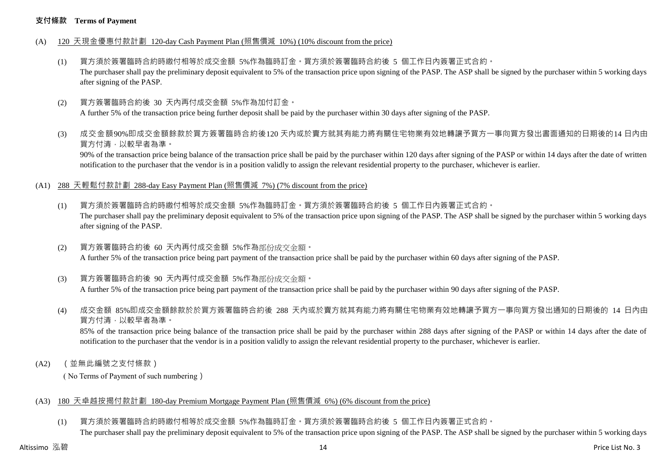#### **支付條款 Terms of Payment**

- (A) 120 天現金優惠付款計劃 120-day Cash Payment Plan (照售價減 10%) (10% discount from the price)
	- (1) 買方須於簽署臨時合約時繳付相等於成交金額 5%作為臨時訂金。買方須於簽署臨時合約後 5 個工作日內簽署正式合約。 The purchaser shall pay the preliminary deposit equivalent to 5% of the transaction price upon signing of the PASP. The ASP shall be signed by the purchaser within 5 working days after signing of the PASP.
	- (2) 買方簽署臨時合約後 30 天內再付成交金額 5%作為加付訂金。 A further 5% of the transaction price being further deposit shall be paid by the purchaser within 30 days after signing of the PASP.
	- (3) 成交金額90%即成交金額餘款於買方簽署臨時合約後120 天內或於賣方就其有能力將有關住宅物業有效地轉讓予買方一事向買方發出書面通知的日期後的14 日內由 買方付清,以較早者為準。

90% of the transaction price being balance of the transaction price shall be paid by the purchaser within 120 days after signing of the PASP or within 14 days after the date of written notification to the purchaser that the vendor is in a position validly to assign the relevant residential property to the purchaser, whichever is earlier.

- (A1) 288 天輕鬆付款計劃 288-day Easy Payment Plan (照售價減 7%) (7% discount from the price)
	- (1) 買方須於簽署臨時合約時繳付相等於成交金額 5%作為臨時訂金。買方須於簽署臨時合約後 5 個工作日內簽署正式合約。 The purchaser shall pay the preliminary deposit equivalent to 5% of the transaction price upon signing of the PASP. The ASP shall be signed by the purchaser within 5 working days after signing of the PASP.
	- (2) 買方簽署臨時合約後 60 天內再付成交金額 5%作為部份成交金額。 A further 5% of the transaction price being part payment of the transaction price shall be paid by the purchaser within 60 days after signing of the PASP.
	- (3) 買方簽署臨時合約後 90 天內再付成交金額 5%作為部份成交金額。

A further 5% of the transaction price being part payment of the transaction price shall be paid by the purchaser within 90 days after signing of the PASP.

(4) 成交金額 85%即成交金額餘款於於買方簽署臨時合約後 288 天內或於賣方就其有能力將有關住宅物業有效地轉讓予買方一事向買方發出通知的日期後的 14 日內由 買方付清,以較早者為準。

85% of the transaction price being balance of the transaction price shall be paid by the purchaser within 288 days after signing of the PASP or within 14 days after the date of notification to the purchaser that the vendor is in a position validly to assign the relevant residential property to the purchaser, whichever is earlier.

(A2) (並無此編號之支付條款)

( No Terms of Payment of such numbering)

#### (A3) 180 天卓越按揭付款計劃 180-day Premium Mortgage Payment Plan (照售價減 6%) (6% discount from the price)

(1) 買方須於簽署臨時合約時繳付相等於成交金額 5%作為臨時訂金。買方須於簽署臨時合約後 5 個工作日內簽署正式合約。 The purchaser shall pay the preliminary deposit equivalent to 5% of the transaction price upon signing of the PASP. The ASP shall be signed by the purchaser within 5 working days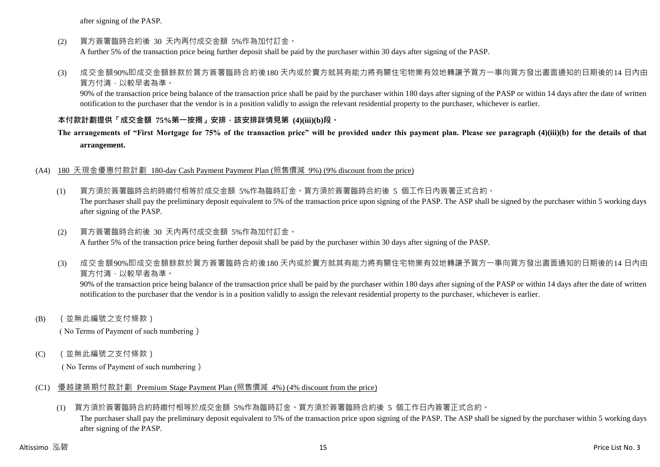after signing of the PASP.

(2) 買方簽署臨時合約後 30 天內再付成交金額 5%作為加付訂金。

A further 5% of the transaction price being further deposit shall be paid by the purchaser within 30 days after signing of the PASP.

(3) 成交金額90%即成交金額餘款於買方簽署臨時合約後180 天內或於賣方就其有能力將有關住宅物業有效地轉讓予買方一事向買方發出書面通知的日期後的14 日內由 買方付清,以較早者為準。

90% of the transaction price being balance of the transaction price shall be paid by the purchaser within 180 days after signing of the PASP or within 14 days after the date of written notification to the purchaser that the vendor is in a position validly to assign the relevant residential property to the purchaser, whichever is earlier.

## **本付款計劃提供「成交金額 75%第一按揭」安排,該安排詳情見第 (4)(iii)(b)段。**

# **The arrangements of "First Mortgage for 75% of the transaction price" will be provided under this payment plan. Please see paragraph (4)(iii)(b) for the details of that arrangement.**

#### (A4) 180 天現金優惠付款計劃 180-day Cash Payment Payment Plan (照售價減 9%) (9% discount from the price)

(1) 買方須於簽署臨時合約時繳付相等於成交金額 5%作為臨時訂金。買方須於簽署臨時合約後 5 個工作日內簽署正式合約。 The purchaser shall pay the preliminary deposit equivalent to 5% of the transaction price upon signing of the PASP. The ASP shall be signed by the purchaser within 5 working days after signing of the PASP.

#### (2) 買方簽署臨時合約後 30 天內再付成交金額 5%作為加付訂金。 A further 5% of the transaction price being further deposit shall be paid by the purchaser within 30 days after signing of the PASP.

(3) 成交金額90%即成交金額餘款於買方簽署臨時合約後180 天內或於賣方就其有能力將有關住宅物業有效地轉讓予買方一事向買方發出書面通知的日期後的14 日內由 買方付清,以較早者為準。

90% of the transaction price being balance of the transaction price shall be paid by the purchaser within 180 days after signing of the PASP or within 14 days after the date of written notification to the purchaser that the vendor is in a position validly to assign the relevant residential property to the purchaser, whichever is earlier.

(B) (並無此編號之支付條款)

( No Terms of Payment of such numbering)

(C) (並無此編號之支付條款)

( No Terms of Payment of such numbering)

- (C1) 優越建築期付款計劃 Premium Stage Payment Plan (照售價減 4%) (4% discount from the price)
	- (1) 買方須於簽署臨時合約時繳付相等於成交金額 5%作為臨時訂金。買方須於簽署臨時合約後 5 個工作日內簽署正式合約。

The purchaser shall pay the preliminary deposit equivalent to 5% of the transaction price upon signing of the PASP. The ASP shall be signed by the purchaser within 5 working days after signing of the PASP.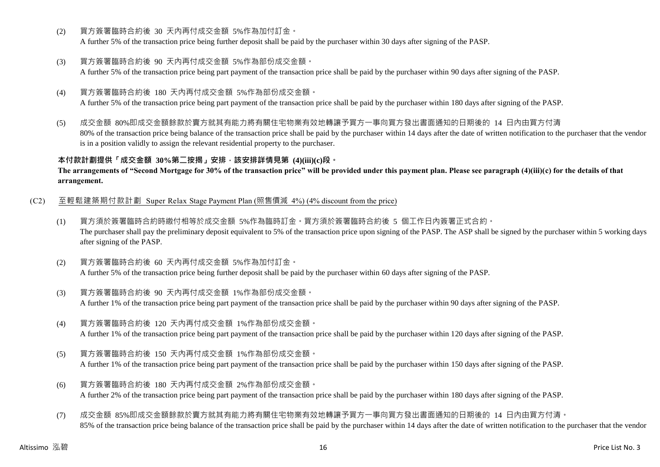(2) 買方簽署臨時合約後 30 天內再付成交金額 5%作為加付訂金。

A further 5% of the transaction price being further deposit shall be paid by the purchaser within 30 days after signing of the PASP.

(3) 買方簽署臨時合約後 90 天內再付成交金額 5%作為部份成交金額。

A further 5% of the transaction price being part payment of the transaction price shall be paid by the purchaser within 90 days after signing of the PASP.

(4) 買方簽署臨時合約後 180 天內再付成交金額 5%作為部份成交金額。

A further 5% of the transaction price being part payment of the transaction price shall be paid by the purchaser within 180 days after signing of the PASP.

(5) 成交金額 80%即成交金額餘款於賣方就其有能力將有關住宅物業有效地轉讓予買方一事向買方發出書面通知的日期後的 14 日內由買方付清 80% of the transaction price being balance of the transaction price shall be paid by the purchaser within 14 days after the date of written notification to the purchaser that the vendor is in a position validly to assign the relevant residential property to the purchaser.

**本付款計劃提供「成交金額 30%第二按揭」安排,該安排詳情見第 (4)(iii)(c)段。**

**The arrangements of "Second Mortgage for 30% of the transaction price" will be provided under this payment plan. Please see paragraph (4)(iii)(c) for the details of that arrangement.**

- (C2) 至輕鬆建築期付款計劃 Super Relax Stage Payment Plan (照售價減 4%) (4% discount from the price)
	- (1) 買方須於簽署臨時合約時繳付相等於成交金額 5%作為臨時訂金。買方須於簽署臨時合約後 5 個工作日內簽署正式合約。 The purchaser shall pay the preliminary deposit equivalent to 5% of the transaction price upon signing of the PASP. The ASP shall be signed by the purchaser within 5 working days after signing of the PASP.
	- (2) 買方簽署臨時合約後 60 天內再付成交金額 5%作為加付訂金。 A further 5% of the transaction price being further deposit shall be paid by the purchaser within 60 days after signing of the PASP.
	- (3) 買方簽署臨時合約後 90 天內再付成交金額 1%作為部份成交金額。 A further 1% of the transaction price being part payment of the transaction price shall be paid by the purchaser within 90 days after signing of the PASP.
	- (4) 買方簽署臨時合約後 120 天內再付成交金額 1%作為部份成交金額。 A further 1% of the transaction price being part payment of the transaction price shall be paid by the purchaser within 120 days after signing of the PASP.
	- (5) 買方簽署臨時合約後 150 天內再付成交金額 1%作為部份成交金額。 A further 1% of the transaction price being part payment of the transaction price shall be paid by the purchaser within 150 days after signing of the PASP.
	- (6) 買方簽署臨時合約後 180 天內再付成交金額 2%作為部份成交金額。 A further 2% of the transaction price being part payment of the transaction price shall be paid by the purchaser within 180 days after signing of the PASP.
	- (7) 成交金額 85%即成交金額餘款於賣方就其有能力將有關住宅物業有效地轉讓予買方一事向買方發出書面通知的日期後的 14 日內由買方付清。 85% of the transaction price being balance of the transaction price shall be paid by the purchaser within 14 days after the date of written notification to the purchaser that the vendor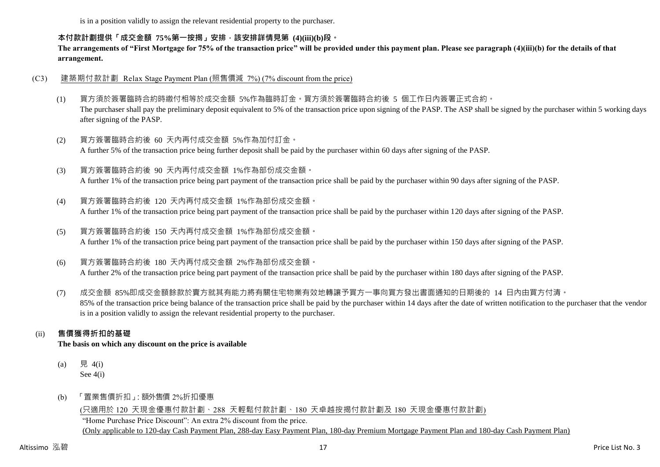is in a position validly to assign the relevant residential property to the purchaser.

#### **本付款計劃提供「成交金額 75%第一按揭」安排,該安排詳情見第 (4)(iii)(b)段。**

**The arrangements of "First Mortgage for 75% of the transaction price" will be provided under this payment plan. Please see paragraph (4)(iii)(b) for the details of that arrangement.**

#### (C3) 建築期付款計劃 Relax Stage Payment Plan (照售價減 7%) (7% discount from the price)

- (1) 買方須於簽署臨時合約時繳付相等於成交金額 5%作為臨時訂金。買方須於簽署臨時合約後 5 個工作日內簽署正式合約。 The purchaser shall pay the preliminary deposit equivalent to 5% of the transaction price upon signing of the PASP. The ASP shall be signed by the purchaser within 5 working days after signing of the PASP.
- (2) 買方簽署臨時合約後 60 天內再付成交金額 5%作為加付訂金。 A further 5% of the transaction price being further deposit shall be paid by the purchaser within 60 days after signing of the PASP.
- (3) 買方簽署臨時合約後 90 天內再付成交金額 1%作為部份成交金額。 A further 1% of the transaction price being part payment of the transaction price shall be paid by the purchaser within 90 days after signing of the PASP.
- (4) 買方簽署臨時合約後 120 天內再付成交金額 1%作為部份成交金額。 A further 1% of the transaction price being part payment of the transaction price shall be paid by the purchaser within 120 days after signing of the PASP.
- (5) 買方簽署臨時合約後 150 天內再付成交金額 1%作為部份成交金額。 A further 1% of the transaction price being part payment of the transaction price shall be paid by the purchaser within 150 days after signing of the PASP.
- (6) 買方簽署臨時合約後 180 天內再付成交金額 2%作為部份成交金額。 A further 2% of the transaction price being part payment of the transaction price shall be paid by the purchaser within 180 days after signing of the PASP.
- (7) 成交金額 85%即成交金額餘款於賣方就其有能力將有關住宅物業有效地轉讓予買方一事向買方發出書面通知的日期後的 14 日內由買方付清。 85% of the transaction price being balance of the transaction price shall be paid by the purchaser within 14 days after the date of written notification to the purchaser that the vendor is in a position validly to assign the relevant residential property to the purchaser.

# (ii) **售價獲得折扣的基礎**

**The basis on which any discount on the price is available**

- (a) 見 4(i) See 4(i)
- (b) 「置業售價折扣」:額外售價 2%折扣優惠

# (只適用於 120 天現金優惠付款計劃、288 天輕鬆付款計劃、180 天卓越按揭付款計劃及 180 天現金優惠付款計劃)

"Home Purchase Price Discount": An extra 2% discount from the price. (Only applicable to 120-day Cash Payment Plan, 288-day Easy Payment Plan, 180-day Premium Mortgage Payment Plan and 180-day Cash Payment Plan)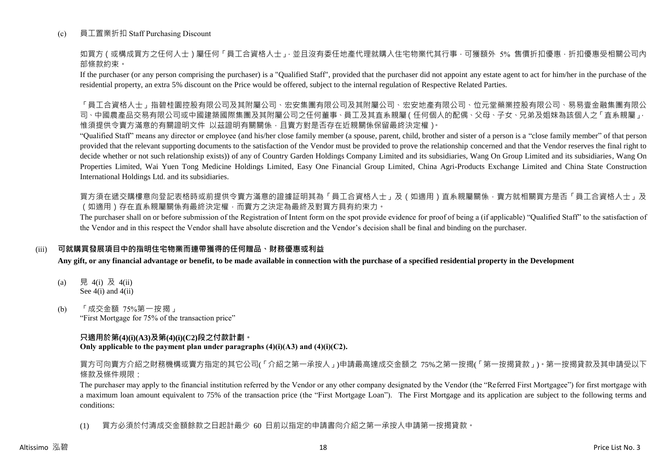#### (c) 員工置業折扣 Staff Purchasing Discount

如買方(或構成買方之任何人士)屬任何「員工合資格人士」,並且沒有委任地產代理就購入住宅物業代其行事,可獲額外 5% 售價折扣優惠,折扣優惠受相關公司內 部條款約束。

If the purchaser (or any person comprising the purchaser) is a "Qualified Staff", provided that the purchaser did not appoint any estate agent to act for him/her in the purchase of the residential property, an extra 5% discount on the Price would be offered, subject to the internal regulation of Respective Related Parties.

「員工合資格人士」指碧桂園控股有限公司及其國有限公司及其內屬公司、宏安地產有限公司、位元堂藥業控股有限公司、易易壹金融集團有限公 司、中國農產品交易有限公司或中國建築國際集團及其附屬公司之任何董事、員工及其直系親屬(任何個人的配偶、父母、子女、兄弟及姐妹為該個人之「直系親屬」, 惟須提供令賣方滿意的有關證明文件 以茲證明有關關係,且賣方對是否存在近親關係保留最終決定權)。

"Qualified Staff" means any director or employee (and his/her close family member (a spouse, parent, child, brother and sister of a person is a "close family member" of that person provided that the relevant supporting documents to the satisfaction of the Vendor must be provided to prove the relationship concerned and that the Vendor reserves the final right to decide whether or not such relationship exists)) of any of Country Garden Holdings Company Limited and its subsidiaries, Wang On Group Limited and its subsidiaries, Wang On Properties Limited, Wai Yuen Tong Medicine Holdings Limited, Easy One Financial Group Limited, China Agri-Products Exchange Limited and China State Construction International Holdings Ltd. and its subsidiaries.

買方須在遞交購樓意向登記表格時或前提供令賣方滿意的證據証明其為「員工合資格人士」及(如適用)直系親屬關係,賣方就相關買方是否「員工合資格人士」及 (如適用)存在直系親屬關係有最終決定權,而賣方之決定為最終及對買方具有約束力。

The purchaser shall on or before submission of the Registration of Intent form on the spot provide evidence for proof of being a (if applicable) "Qualified Staff" to the satisfaction of the Vendor and in this respect the Vendor shall have absolute discretion and the Vendor's decision shall be final and binding on the purchaser.

#### (iii) **可就購買發展項目中的指明住宅物業而連帶獲得的任何贈品、財務優惠或利益**

**Any gift, or any financial advantage or benefit, to be made available in connection with the purchase of a specified residential property in the Development**

- (a) 見 4(i) 及 4(ii) See 4(i) and 4(ii)
- (b) 「成交金額 75%第一按揭」 "First Mortgage for 75% of the transaction price"

#### **只適用於第(4)(i)(A3)及第(4)(i)(C2)段之付款計劃。**

**Only applicable to the payment plan under paragraphs (4)(i)(A3) and (4)(i)(C2).**

買方可向賣方介紹之財務機構或賣方指定的其它公司(「介紹之第一承按人」)申請最高達成交金額之 75%之第一按揭(「第一按揭貸款」)。第一按揭貸款及其申請受以下 條款及條件規限:

The purchaser may apply to the financial institution referred by the Vendor or any other company designated by the Vendor (the "Referred First Mortgagee") for first mortgage with a maximum loan amount equivalent to 75% of the transaction price (the "First Mortgage Loan"). The First Mortgage and its application are subject to the following terms and conditions:

(1) 買方必須於付清成交金額餘款之日起計最少 60 日前以指定的申請書向介紹之第一承按人申請第一按揭貸款。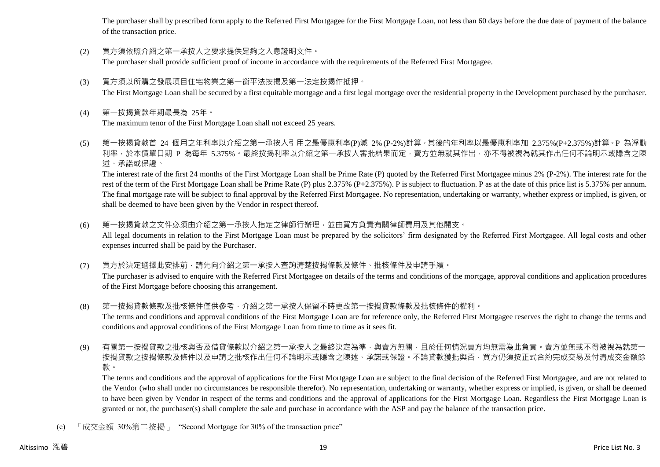The purchaser shall by prescribed form apply to the Referred First Mortgagee for the First Mortgage Loan, not less than 60 days before the due date of payment of the balance of the transaction price.

(2) 買方須依照介紹之第一承按人之要求提供足夠之入息證明文件。

The purchaser shall provide sufficient proof of income in accordance with the requirements of the Referred First Mortgagee.

- (3) 買方須以所購之發展項目住宅物業之第一衡平法按揭及第一法定按揭作抵押。 The First Mortgage Loan shall be secured by a first equitable mortgage and a first legal mortgage over the residential property in the Development purchased by the purchaser.
- (4) 第一按揭貸款年期最長為 25年。

The maximum tenor of the First Mortgage Loan shall not exceed 25 years.

(5) 第一按揭貸款首 24 個月之年利率以介紹之第一承按人引用之最優惠利率(P)減 2% (P-2%)計算。其後的年利率以最優惠利率加 2.375%(P+2.375%)計算。P 為浮動 利率,於本價單日期 P 為每年 5.375%。最終按揭利率以介紹之第一承按人審批結果而定,賣方並無就其作出,亦不得被視為就其作出任何不論明示或隱含之陳 述、承諾或保證。

The interest rate of the first 24 months of the First Mortgage Loan shall be Prime Rate (P) quoted by the Referred First Mortgagee minus 2% (P-2%). The interest rate for the rest of the term of the First Mortgage Loan shall be Prime Rate (P) plus 2.375% (P+2.375%). P is subject to fluctuation. P as at the date of this price list is 5.375% per annum. The final mortgage rate will be subject to final approval by the Referred First Mortgagee. No representation, undertaking or warranty, whether express or implied, is given, or shall be deemed to have been given by the Vendor in respect thereof.

- (6) 第一按揭貸款之文件必須由介紹之第一承按人指定之律師行辦理,並由買方負責有關律師費用及其他開支。 All legal documents in relation to the First Mortgage Loan must be prepared by the solicitors' firm designated by the Referred First Mortgagee. All legal costs and other expenses incurred shall be paid by the Purchaser.
- (7) 買方於決定選擇此安排前,請先向介紹之第一承按人查詢清楚按揭條款及條件、批核條件及申請手續。

The purchaser is advised to enquire with the Referred First Mortgagee on details of the terms and conditions of the mortgage, approval conditions and application procedures of the First Mortgage before choosing this arrangement.

- (8) 第一按揭貸款條款及批核條件僅供參考,介紹之第一承按人保留不時更改第一按揭貸款條款及批核條件的權利。 The terms and conditions and approval conditions of the First Mortgage Loan are for reference only, the Referred First Mortgagee reserves the right to change the terms and conditions and approval conditions of the First Mortgage Loan from time to time as it sees fit.
- (9) 有關第一按揭貸款之批核與否及借貸條款以介紹之第一承按人之最終決定為準,與賣方無關,且於任何情況賣方均無需為此負責。賣方並無或不得被視為就第一 按揭貸款之按揭條款及條件以及申請之批核作出任何不論明示或隱含之陳述、承諾或保證。不論貸款獲批與否,買方仍須按正式合約完成交易及付清成交金額餘 款。

The terms and conditions and the approval of applications for the First Mortgage Loan are subject to the final decision of the Referred First Mortgagee, and are not related to the Vendor (who shall under no circumstances be responsible therefor). No representation, undertaking or warranty, whether express or implied, is given, or shall be deemed to have been given by Vendor in respect of the terms and conditions and the approval of applications for the First Mortgage Loan. Regardless the First Mortgage Loan is granted or not, the purchaser(s) shall complete the sale and purchase in accordance with the ASP and pay the balance of the transaction price.

(c) 「成交金額 30%第二按揭」 "Second Mortgage for 30% of the transaction price"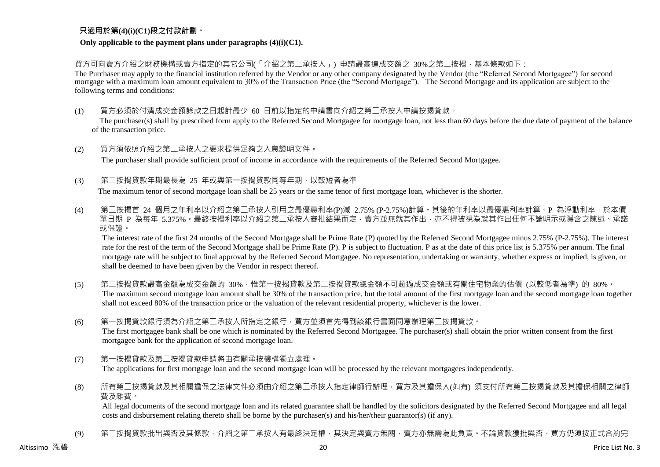## **只適用於第(4)(i)(C1)段之付款計劃。**

#### **Only applicable to the payment plans under paragraphs (4)(i)(C1).**

買方可向賣方介紹之財務機構或賣方指定的其它公司(「介紹之第二承按人」) 申請最高達成交額之 30%之第二按揭,基本條款如下:

The Purchaser may apply to the financial institution referred by the Vendor or any other company designated by the Vendor (the "Referred Second Mortgagee") for second mortgage with a maximum loan amount equivalent to 30% of the Transaction Price (the "Second Mortgage"). The Second Mortgage and its application are subject to the following terms and conditions:

(1) 買方必須於付清成交金額餘款之日起計最少 60 日前以指定的申請書向介紹之第二承按人申請按揭貸款。

The purchaser(s) shall by prescribed form apply to the Referred Second Mortgagee for mortgage loan, not less than 60 days before the due date of payment of the balance of the transaction price.

- (2) 買方須依照介紹之第二承按人之要求提供足夠之入息證明文件。 The purchaser shall provide sufficient proof of income in accordance with the requirements of the Referred Second Mortgagee.
- (3) 第二按揭貸款年期最長為 25 年或與第一按揭貸款同等年期,以較短者為準

The maximum tenor of second mortgage loan shall be 25 years or the same tenor of first mortgage loan, whichever is the shorter.

(4) 第二按揭首 24 個月之年利率以介紹之第二承按人引用之最優惠利率(P)減 2.75% (P-2.75%)計算。其後的年利率以最優惠利率計算。P 為浮動利率,於本價 單日期 P 為每年 5.375%。最終按揭利率以介紹之第二承按人審批結果而定,賣方並無就其作出,亦不得被視為就其作出任何不論明示或隱含之陳述、承諾 或保證。

The interest rate of the first 24 months of the Second Mortgage shall be Prime Rate (P) quoted by the Referred Second Mortgagee minus 2.75% (P-2.75%). The interest rate for the rest of the term of the Second Mortgage shall be Prime Rate (P). P is subject to fluctuation. P as at the date of this price list is 5.375% per annum. The final mortgage rate will be subject to final approval by the Referred Second Mortgagee. No representation, undertaking or warranty, whether express or implied, is given, or shall be deemed to have been given by the Vendor in respect thereof.

- (5) 第二按揭貸款最高金額為成交金額的 30%,惟第一按揭貸款及第二按揭貸款總金額不可超過成交金額或有關住宅物業的估價 (以較低者為準) 的 80%。 The maximum second mortgage loan amount shall be 30% of the transaction price, but the total amount of the first mortgage loan and the second mortgage loan together shall not exceed 80% of the transaction price or the valuation of the relevant residential property, whichever is the lower.
- (6) 第一按揭貸款銀行須為介紹之第二承按人所指定之銀行,買方並須首先得到該銀行書面同意辦理第二按揭貸款。

The first mortgagee bank shall be one which is nominated by the Referred Second Mortgagee. The purchaser(s) shall obtain the prior written consent from the first mortgagee bank for the application of second mortgage loan.

(7) 第一按揭貸款及第二按揭貸款申請將由有關承按機構獨立處理。

The applications for first mortgage loan and the second mortgage loan will be processed by the relevant mortgagees independently.

(8) 所有第二按揭貸款及其相關擔保之法律文件必須由介紹之第二承按人指定律師行辦理,買方及其擔保人(如有) 須支付所有第二按揭貸款及其擔保相關之律師 費及雜費。

All legal documents of the second mortgage loan and its related guarantee shall be handled by the solicitors designated by the Referred Second Mortgagee and all legal costs and disbursement relating thereto shall be borne by the purchaser(s) and his/her/their guarantor(s) (if any).

(9) 第二按揭貸款批出與否及其條款,介紹之第二承按人有最終決定權,其決定與賣方無關,賣方亦無需為此負責。不論貸款獲批與否,買方仍須按正式合約完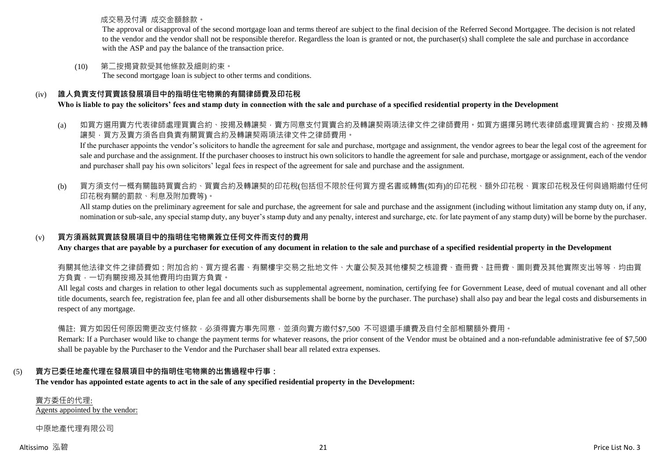成交易及付清 成交金額餘款。

The approval or disapproval of the second mortgage loan and terms thereof are subject to the final decision of the Referred Second Mortgagee. The decision is not related to the vendor and the vendor shall not be responsible therefor. Regardless the loan is granted or not, the purchaser(s) shall complete the sale and purchase in accordance with the ASP and pay the balance of the transaction price.

(10) 第二按揭貸款受其他條款及細則約束。 The second mortgage loan is subject to other terms and conditions.

# (iv) **誰人負責支付買賣該發展項目中的指明住宅物業的有關律師費及印花稅**

# **Who is liable to pay the solicitors' fees and stamp duty in connection with the sale and purchase of a specified residential property in the Development**

# (a) 如買方選用賣方代表律師處理買賣合約、按揭及轉讓契,賣方同意支付買賣合約及轉讓契兩項法律文件之律師費用。如買方選擇另聘代表律師處理買賣合約、按揭及轉 讓契,買方及賣方須各自負責有關買賣合約及轉讓契兩項法律文件之律師費用。

If the purchaser appoints the vendor's solicitors to handle the agreement for sale and purchase, mortgage and assignment, the vendor agrees to bear the legal cost of the agreement for sale and purchase and the assignment. If the purchaser chooses to instruct his own solicitors to handle the agreement for sale and purchase, mortgage or assignment, each of the vendor and purchaser shall pay his own solicitors' legal fees in respect of the agreement for sale and purchase and the assignment.

(b) 買方須支付一概有關臨時買賣合約、買賣合約及轉讓契的印花稅(包括但不限於任何買方提名書或轉售(如有)的印花稅、額外印花稅、買家印花稅及任何與過期繳付任何 印花稅有關的罰款、利息及附加費等)。

All stamp duties on the preliminary agreement for sale and purchase, the agreement for sale and purchase and the assignment (including without limitation any stamp duty on, if any, nomination or sub-sale, any special stamp duty, any buyer's stamp duty and any penalty, interest and surcharge, etc. for late payment of any stamp duty) will be borne by the purchaser.

## (v) **買方須爲就買賣該發展項目中的指明住宅物業簽立任何文件而支付的費用**

**Any charges that are payable by a purchaser for execution of any document in relation to the sale and purchase of a specified residential property in the Development**

有關其他法律文件之律師費如:附加合約、買方提名書、有關樓宇交易之批地文件、大廈公契及其他樓契之核證費、查冊費、註冊費、圖則費及其他實際支出等等,均由買 方負責,一切有關按揭及其他費用均由買方負責。

All legal costs and charges in relation to other legal documents such as supplemental agreement, nomination, certifying fee for Government Lease, deed of mutual covenant and all other title documents, search fee, registration fee, plan fee and all other disbursements shall be borne by the purchaser. The purchase) shall also pay and bear the legal costs and disbursements in respect of any mortgage.

備註: 買方如因任何原因需更改支付條款,必須得賣方事先同意,並須向賣方繳付\$7,500 不可退還手續費及自付全部相關額外費用。

Remark: If a Purchaser would like to change the payment terms for whatever reasons, the prior consent of the Vendor must be obtained and a non-refundable administrative fee of \$7,500 shall be payable by the Purchaser to the Vendor and the Purchaser shall bear all related extra expenses.

# (5) **賣方已委任地產代理在發展項目中的指明住宅物業的出售過程中行事:**

**The vendor has appointed estate agents to act in the sale of any specified residential property in the Development:**

賣方委任的代理: Agents appointed by the vendor:

中原地產代理有限公司